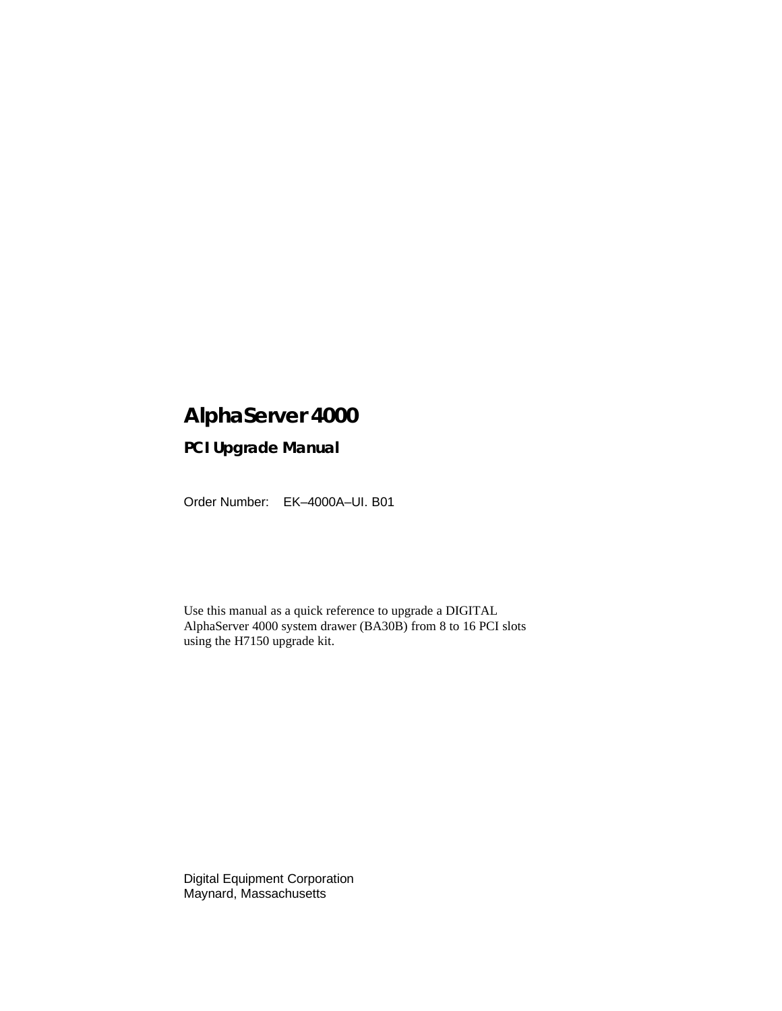# **AlphaServer 4000**

# **PCI Upgrade Manual**

Order Number: EK–4000A–UI. B01

Use this manual as a quick reference to upgrade a DIGITAL AlphaServer 4000 system drawer (BA30B) from 8 to 16 PCI slots using the H7150 upgrade kit.

Digital Equipment Corporation Maynard, Massachusetts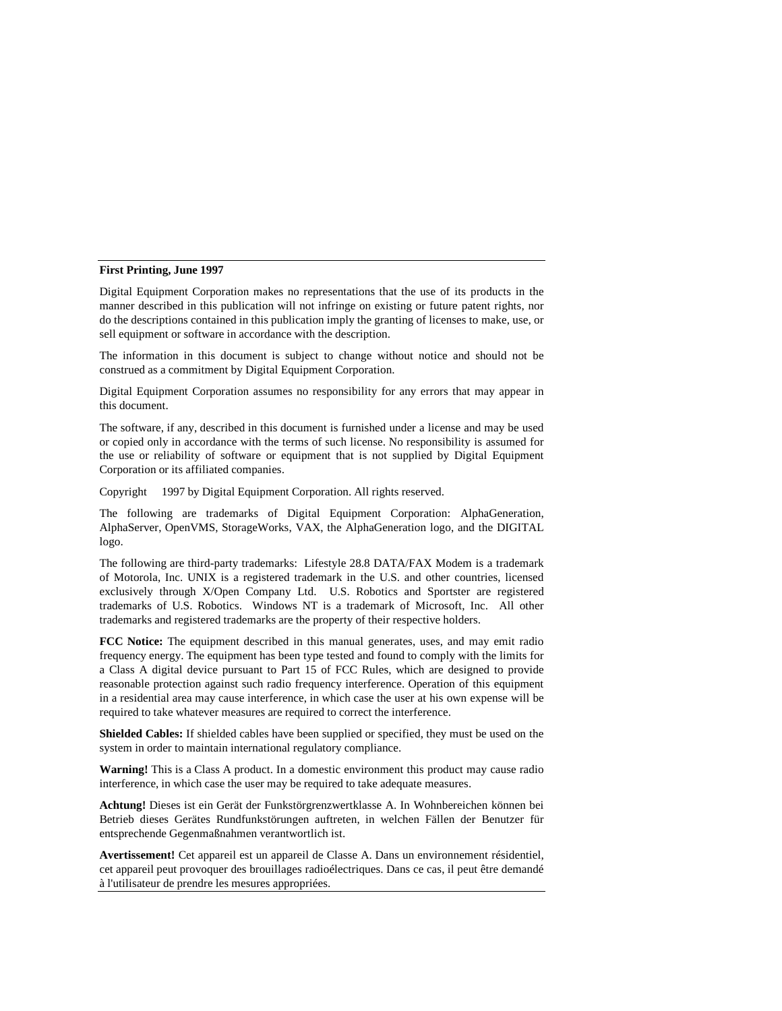#### **First Printing, June 1997**

Digital Equipment Corporation makes no representations that the use of its products in the manner described in this publication will not infringe on existing or future patent rights, nor do the descriptions contained in this publication imply the granting of licenses to make, use, or sell equipment or software in accordance with the description.

The information in this document is subject to change without notice and should not be construed as a commitment by Digital Equipment Corporation.

Digital Equipment Corporation assumes no responsibility for any errors that may appear in this document.

The software, if any, described in this document is furnished under a license and may be used or copied only in accordance with the terms of such license. No responsibility is assumed for the use or reliability of software or equipment that is not supplied by Digital Equipment Corporation or its affiliated companies.

Copyright © 1997 by Digital Equipment Corporation. All rights reserved.

The following are trademarks of Digital Equipment Corporation: AlphaGeneration, AlphaServer, OpenVMS, StorageWorks, VAX, the AlphaGeneration logo, and the DIGITAL logo.

The following are third-party trademarks: Lifestyle 28.8 DATA/FAX Modem is a trademark of Motorola, Inc. UNIX is a registered trademark in the U.S. and other countries, licensed exclusively through X/Open Company Ltd. U.S. Robotics and Sportster are registered trademarks of U.S. Robotics. Windows NT is a trademark of Microsoft, Inc. All other trademarks and registered trademarks are the property of their respective holders.

**FCC Notice:** The equipment described in this manual generates, uses, and may emit radio frequency energy. The equipment has been type tested and found to comply with the limits for a Class A digital device pursuant to Part 15 of FCC Rules, which are designed to provide reasonable protection against such radio frequency interference. Operation of this equipment in a residential area may cause interference, in which case the user at his own expense will be required to take whatever measures are required to correct the interference.

**Shielded Cables:** If shielded cables have been supplied or specified, they must be used on the system in order to maintain international regulatory compliance.

**Warning!** This is a Class A product. In a domestic environment this product may cause radio interference, in which case the user may be required to take adequate measures.

**Achtung!** Dieses ist ein Gerät der Funkstörgrenzwertklasse A. In Wohnbereichen können bei Betrieb dieses Gerätes Rundfunkstörungen auftreten, in welchen Fällen der Benutzer für entsprechende Gegenmaßnahmen verantwortlich ist.

**Avertissement!** Cet appareil est un appareil de Classe A. Dans un environnement résidentiel, cet appareil peut provoquer des brouillages radioélectriques. Dans ce cas, il peut être demandé à l'utilisateur de prendre les mesures appropriées.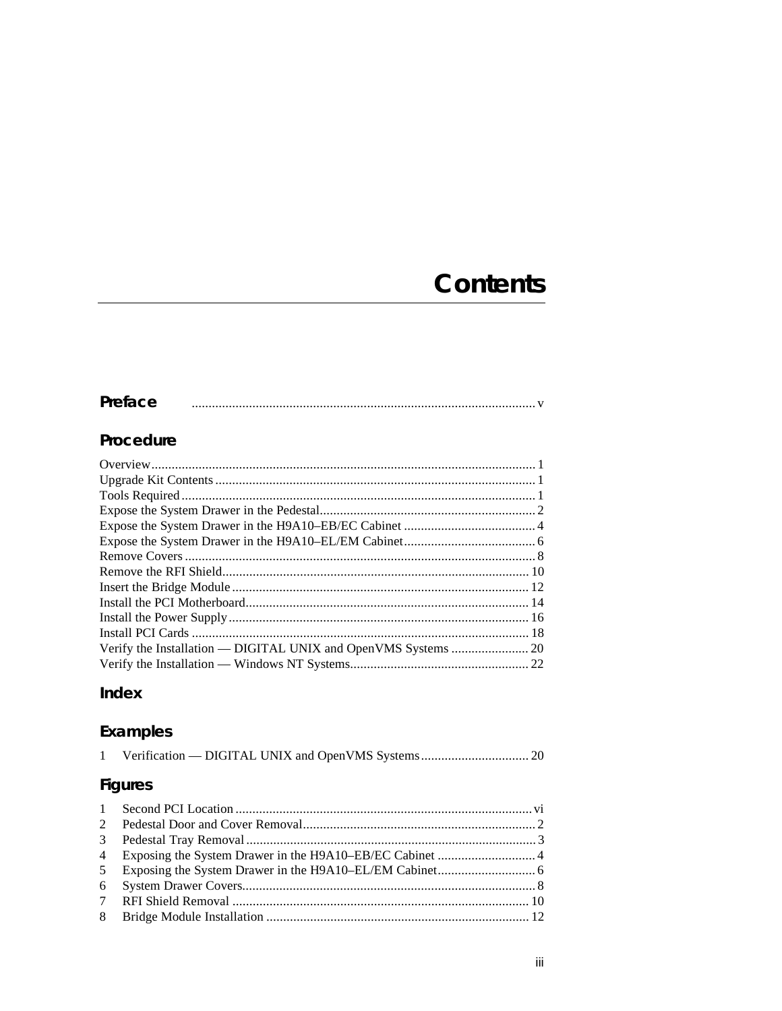# **Contents**

## Preface

## Procedure

# Index

# Examples

| <b>Figures</b>                    |
|-----------------------------------|
|                                   |
| 2 Dodoctol Door and Cover Domoval |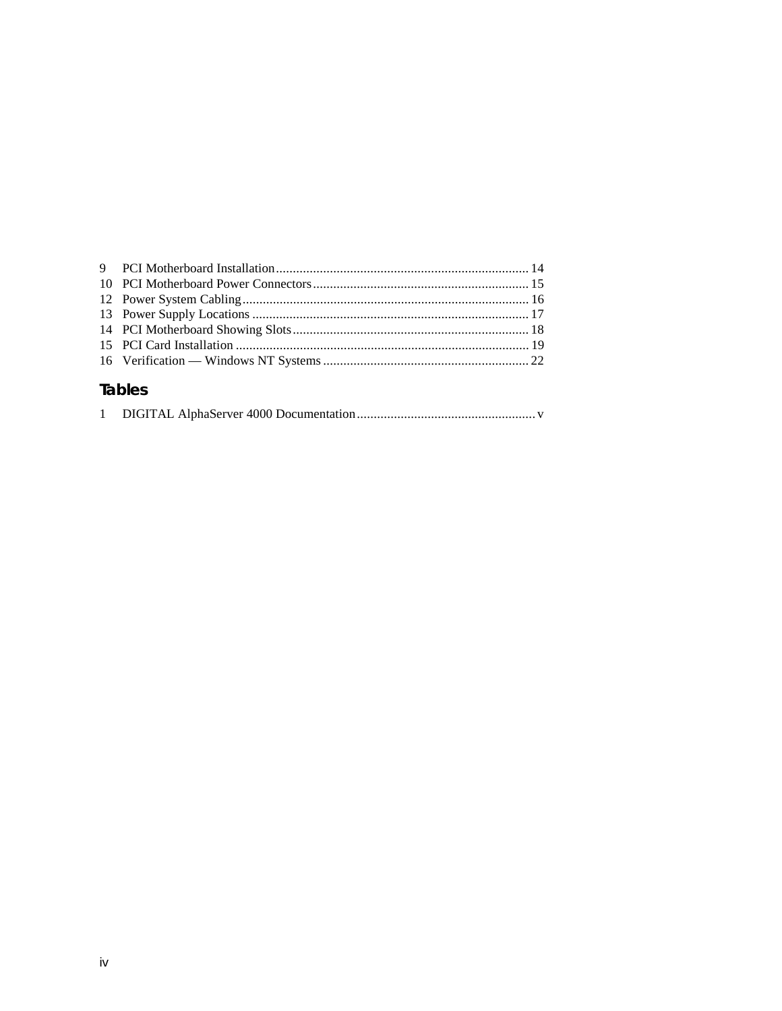# **Tables**

|--|--|--|--|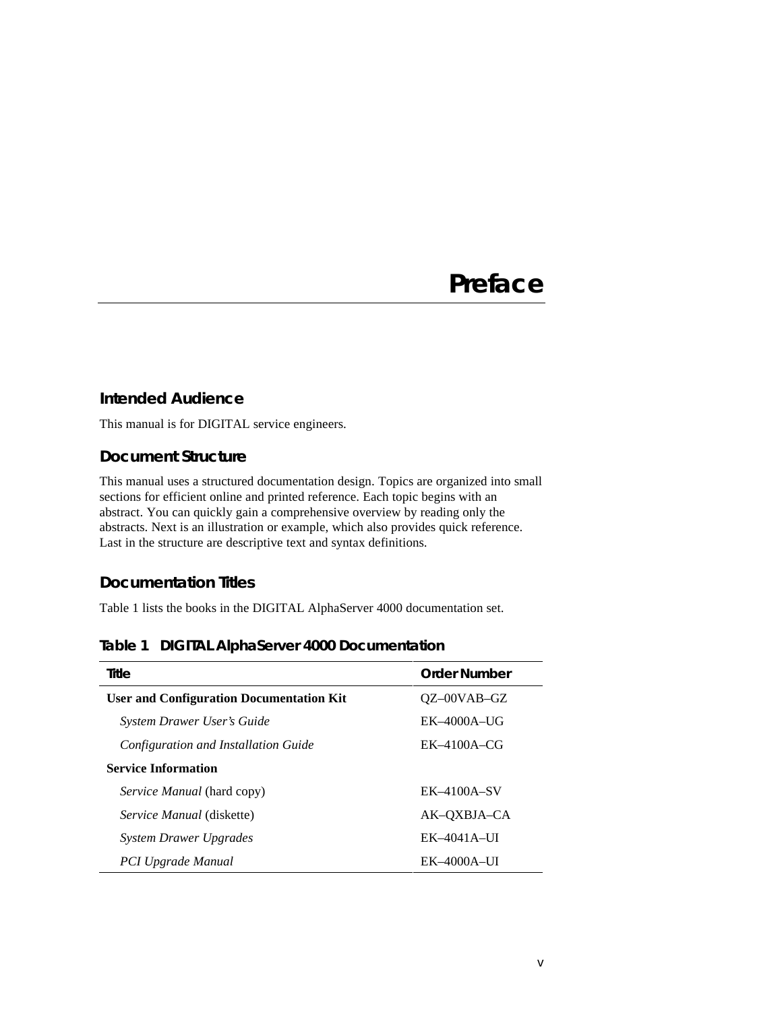# **Preface**

#### **Intended Audience**

This manual is for DIGITAL service engineers.

#### **Document Structure**

This manual uses a structured documentation design. Topics are organized into small sections for efficient online and printed reference. Each topic begins with an abstract. You can quickly gain a comprehensive overview by reading only the abstracts. Next is an illustration or example, which also provides quick reference. Last in the structure are descriptive text and syntax definitions.

### **Documentation Titles**

Table 1 lists the books in the DIGITAL AlphaServer 4000 documentation set.

| Table 1 DIGITAL AlphaServer 4000 Documentation |
|------------------------------------------------|
|------------------------------------------------|

| Title                                           | <b>Order Number</b> |
|-------------------------------------------------|---------------------|
| <b>User and Configuration Documentation Kit</b> | $OZ$ –00VAB–GZ      |
| System Drawer User's Guide                      | $EK-4000A-UG$       |
| Configuration and Installation Guide            | $EK-4100A-CG$       |
| <b>Service Information</b>                      |                     |
| <i>Service Manual</i> (hard copy)               | $EK-4100A-SV$       |
| <i>Service Manual</i> (diskette)                | AK-OXBJA-CA         |
| <b>System Drawer Upgrades</b>                   | $EK-4041A-UI$       |
| PCI Upgrade Manual                              | $EK-4000A-UI$       |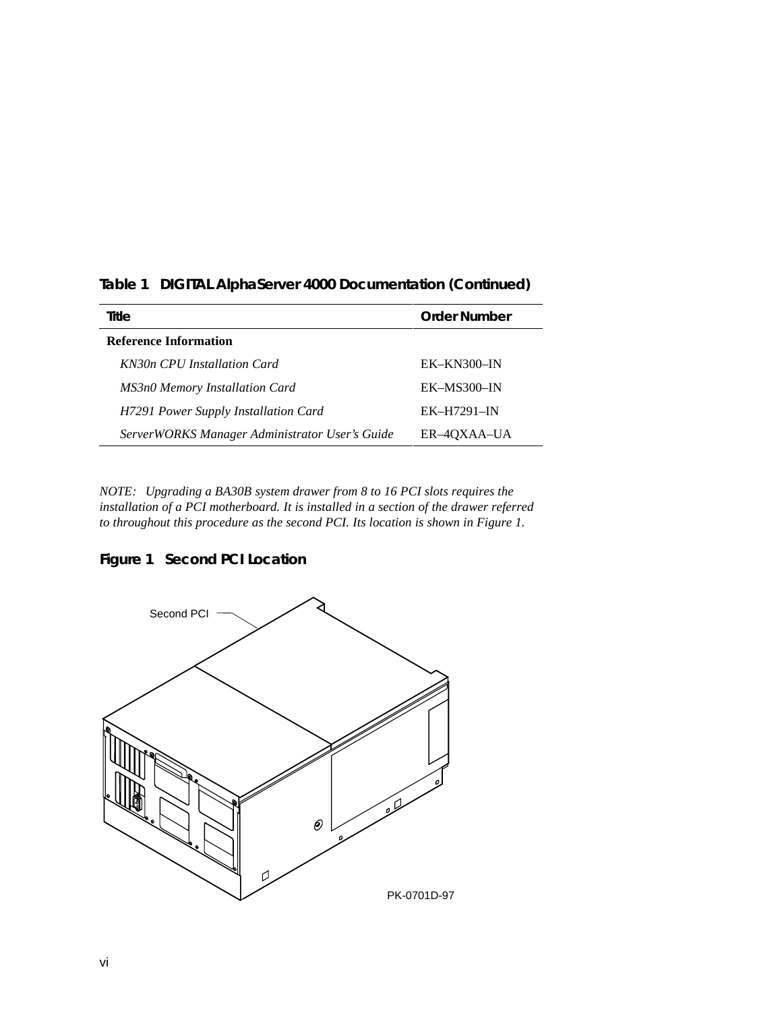| Title                                          | Order Number |
|------------------------------------------------|--------------|
| <b>Reference Information</b>                   |              |
| KN30n CPU Installation Card                    | $EK-KN300-N$ |
| <b>MS3n0 Memory Installation Card</b>          | EK-MS300-IN  |
| H7291 Power Supply Installation Card           | $EK-H7291-N$ |
| ServerWORKS Manager Administrator User's Guide | ER-40XAA-UA  |

**Table 1 DIGITAL AlphaServer 4000 Documentation (Continued)**

*NOTE: Upgrading a BA30B system drawer from 8 to 16 PCI slots requires the installation of a PCI motherboard. It is installed in a section of the drawer referred to throughout this procedure as the second PCI. Its location is shown in Figure 1.*



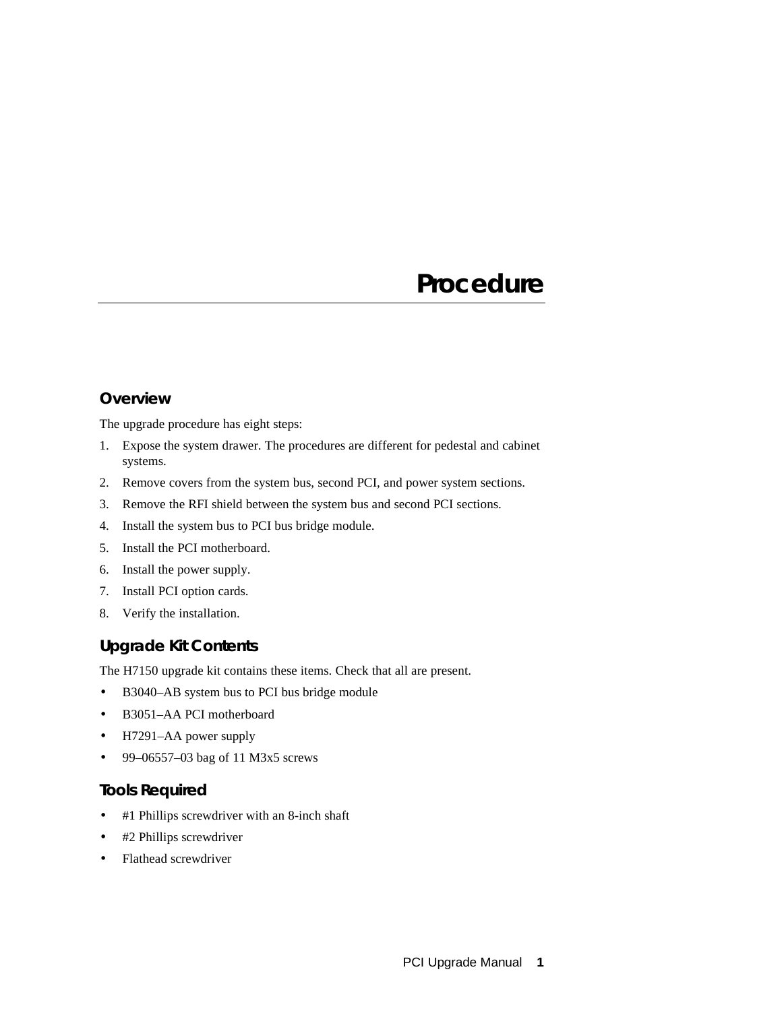# **Procedure**

### **Overview**

The upgrade procedure has eight steps:

- 1. Expose the system drawer. The procedures are different for pedestal and cabinet systems.
- 2. Remove covers from the system bus, second PCI, and power system sections.
- 3. Remove the RFI shield between the system bus and second PCI sections.
- 4. Install the system bus to PCI bus bridge module.
- 5. Install the PCI motherboard.
- 6. Install the power supply.
- 7. Install PCI option cards.
- 8. Verify the installation.

## **Upgrade Kit Contents**

The H7150 upgrade kit contains these items. Check that all are present.

- B3040–AB system bus to PCI bus bridge module
- B3051–AA PCI motherboard
- H7291–AA power supply
- 99–06557–03 bag of 11 M3x5 screws

### **Tools Required**

- #1 Phillips screwdriver with an 8-inch shaft
- #2 Phillips screwdriver
- Flathead screwdriver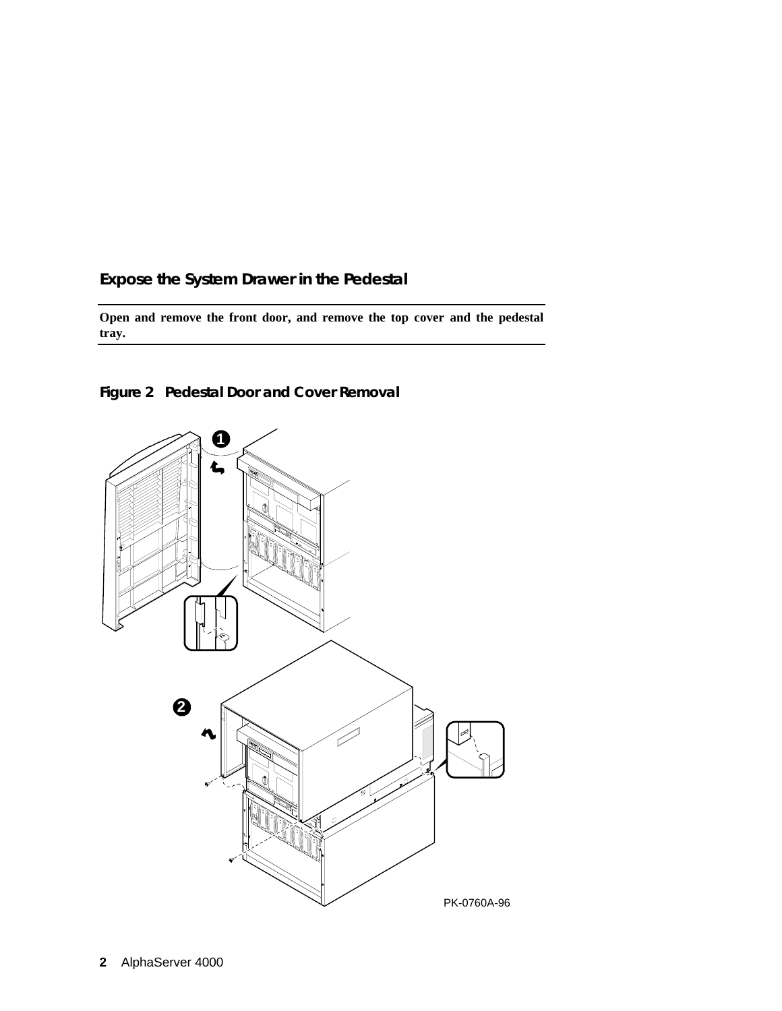## **Expose the System Drawer in the Pedestal**

**Open and remove the front door, and remove the top cover and the pedestal tray.**



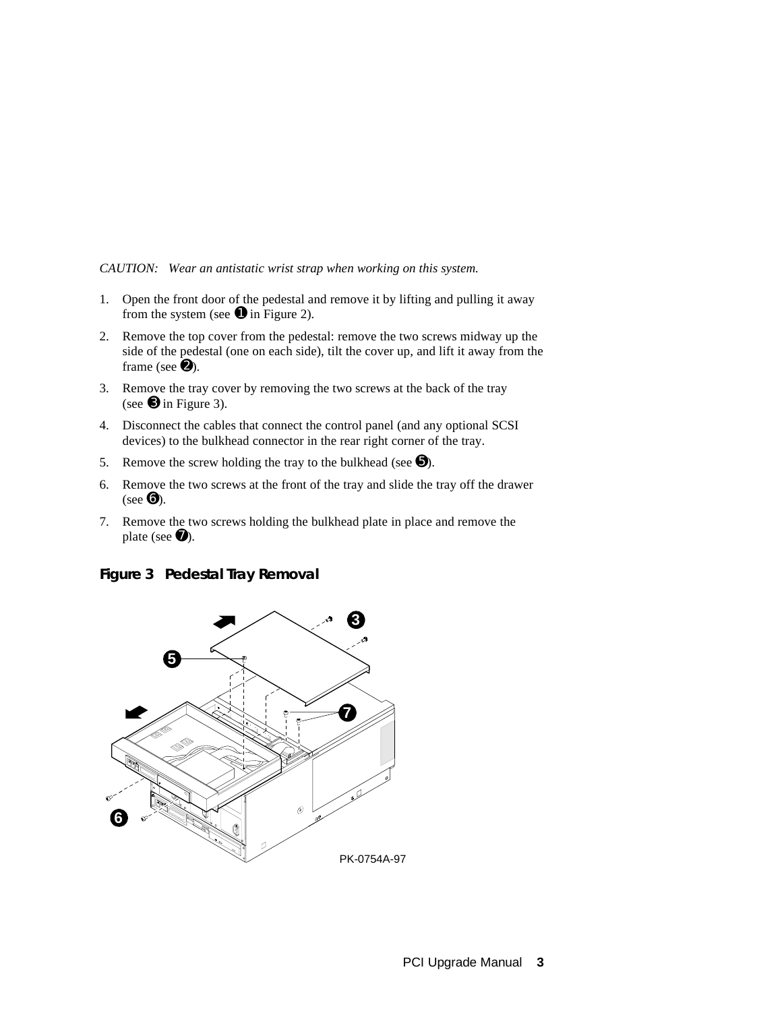*CAUTION: Wear an antistatic wrist strap when working on this system.*

- 1. Open the front door of the pedestal and remove it by lifting and pulling it away from the system (see  $\bullet$  in Figure 2).
- 2. Remove the top cover from the pedestal: remove the two screws midway up the side of the pedestal (one on each side), tilt the cover up, and lift it away from the frame (see  $\bullet$ ).
- 3. Remove the tray cover by removing the two screws at the back of the tray (see  $\Theta$  in Figure 3).
- 4. Disconnect the cables that connect the control panel (and any optional SCSI devices) to the bulkhead connector in the rear right corner of the tray.
- 5. Remove the screw holding the tray to the bulkhead (see  $\Theta$ ).
- 6. Remove the two screws at the front of the tray and slide the tray off the drawer (see  $\mathbf{\Theta}$ ).
- 7. Remove the two screws holding the bulkhead plate in place and remove the plate (see  $\bullet$ ).



**Figure 3 Pedestal Tray Removal**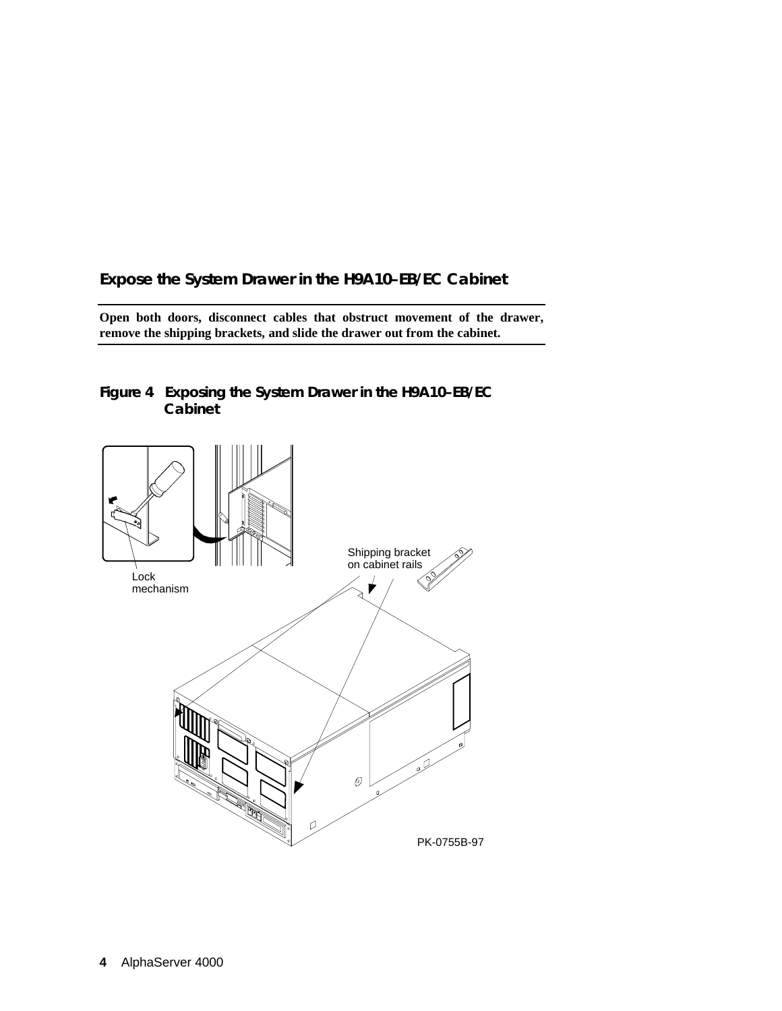## **Expose the System Drawer in the H9A10–EB/EC Cabinet**

**Open both doors, disconnect cables that obstruct movement of the drawer, remove the shipping brackets, and slide the drawer out from the cabinet.**



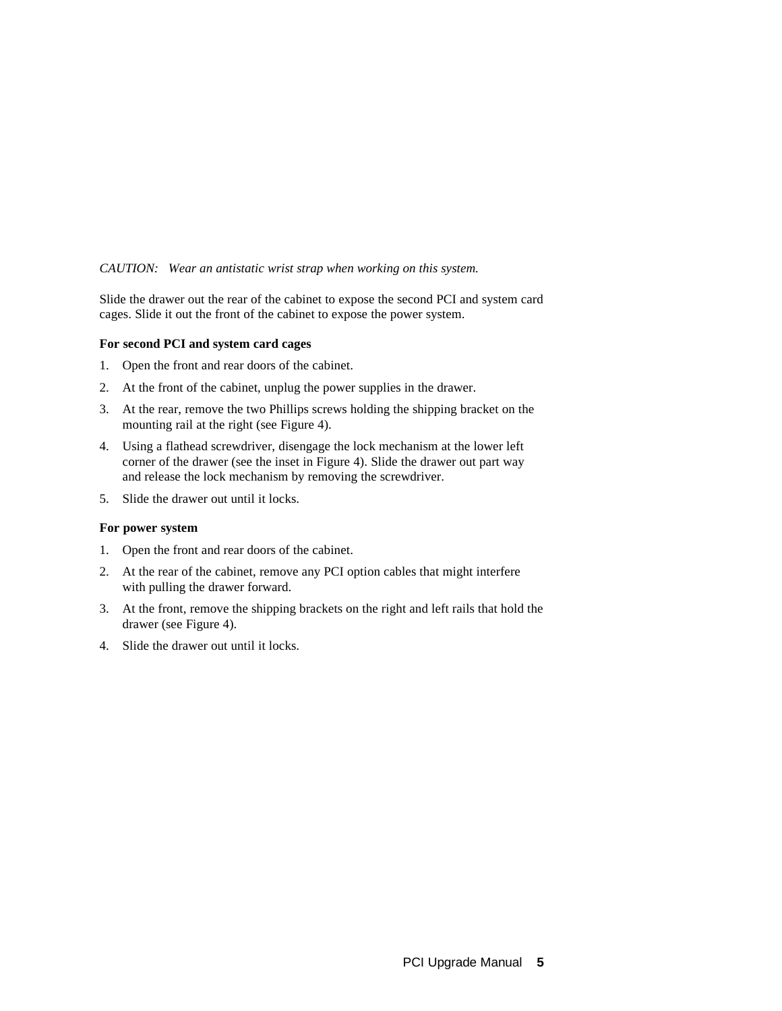#### *CAUTION: Wear an antistatic wrist strap when working on this system.*

Slide the drawer out the rear of the cabinet to expose the second PCI and system card cages. Slide it out the front of the cabinet to expose the power system.

#### **For second PCI and system card cages**

- 1. Open the front and rear doors of the cabinet.
- 2. At the front of the cabinet, unplug the power supplies in the drawer.
- 3. At the rear, remove the two Phillips screws holding the shipping bracket on the mounting rail at the right (see Figure 4).
- 4. Using a flathead screwdriver, disengage the lock mechanism at the lower left corner of the drawer (see the inset in Figure 4). Slide the drawer out part way and release the lock mechanism by removing the screwdriver.
- 5. Slide the drawer out until it locks.

#### **For power system**

- 1. Open the front and rear doors of the cabinet.
- 2. At the rear of the cabinet, remove any PCI option cables that might interfere with pulling the drawer forward.
- 3. At the front, remove the shipping brackets on the right and left rails that hold the drawer (see Figure 4).
- 4. Slide the drawer out until it locks.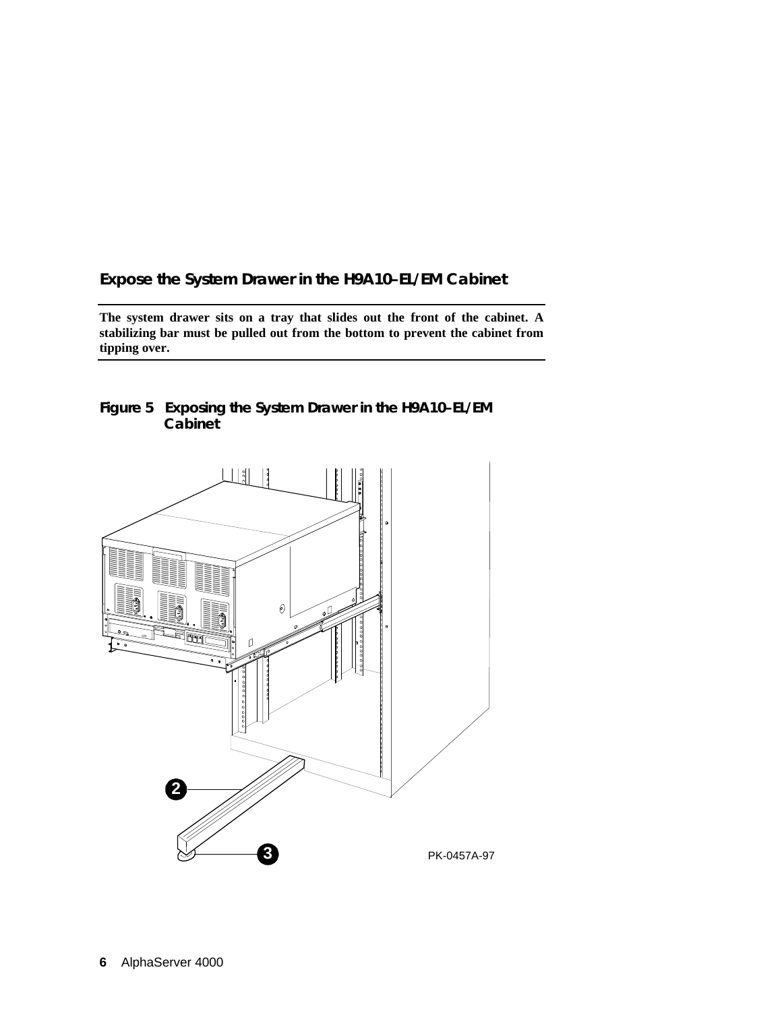## **Expose the System Drawer in the H9A10–EL/EM Cabinet**

**The system drawer sits on a tray that slides out the front of the cabinet. A stabilizing bar must be pulled out from the bottom to prevent the cabinet from tipping over.**



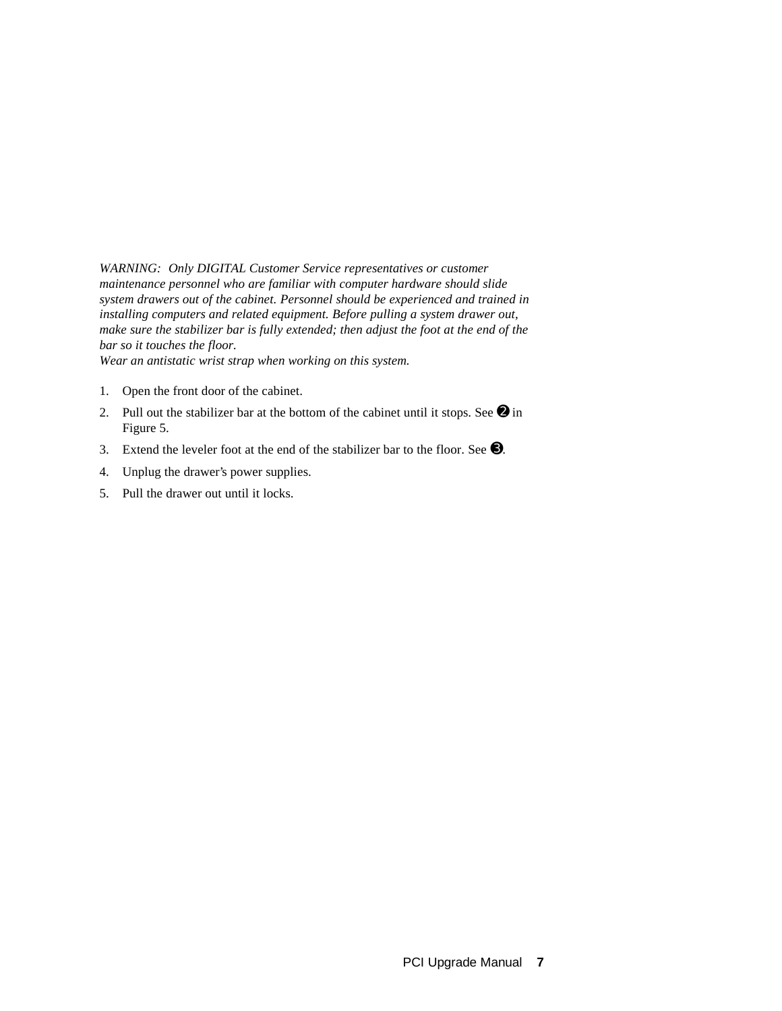*WARNING: Only DIGITAL Customer Service representatives or customer maintenance personnel who are familiar with computer hardware should slide system drawers out of the cabinet. Personnel should be experienced and trained in installing computers and related equipment. Before pulling a system drawer out, make sure the stabilizer bar is fully extended; then adjust the foot at the end of the bar so it touches the floor.*

*Wear an antistatic wrist strap when working on this system.*

- 1. Open the front door of the cabinet.
- 2. Pull out the stabilizer bar at the bottom of the cabinet until it stops. See  $\bullet$  in Figure 5.
- 3. Extend the leveler foot at the end of the stabilizer bar to the floor. See ➌.
- 4. Unplug the drawer's power supplies.
- 5. Pull the drawer out until it locks.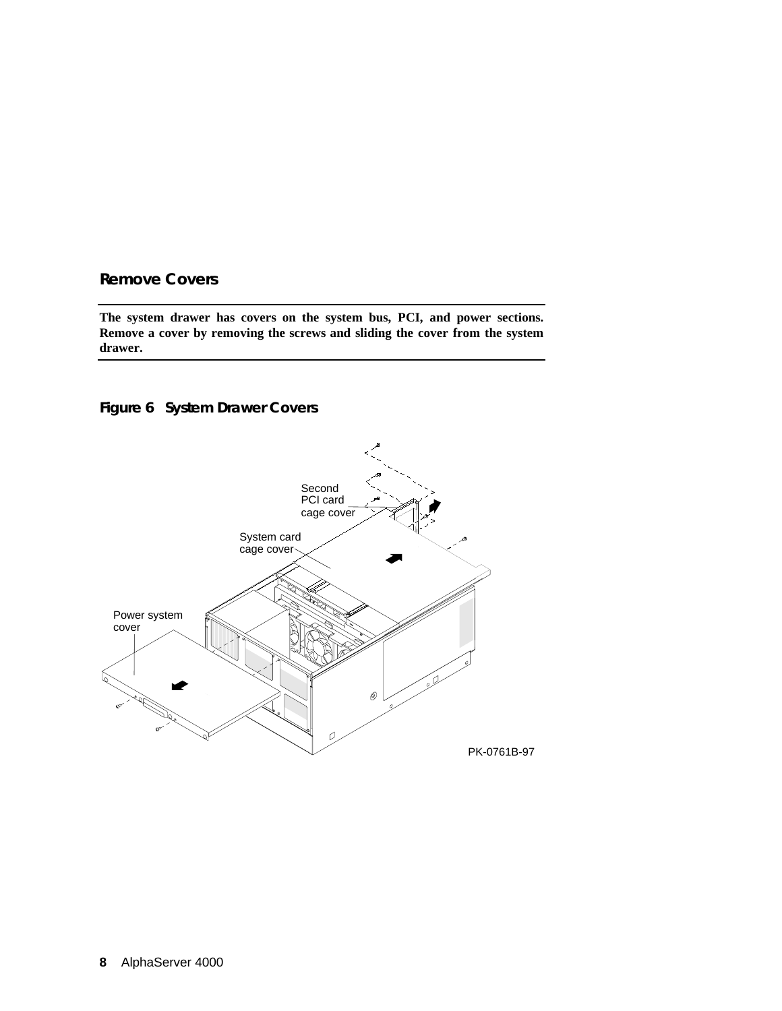#### **Remove Covers**

**The system drawer has covers on the system bus, PCI, and power sections. Remove a cover by removing the screws and sliding the cover from the system drawer.**

## **Figure 6 System Drawer Covers**

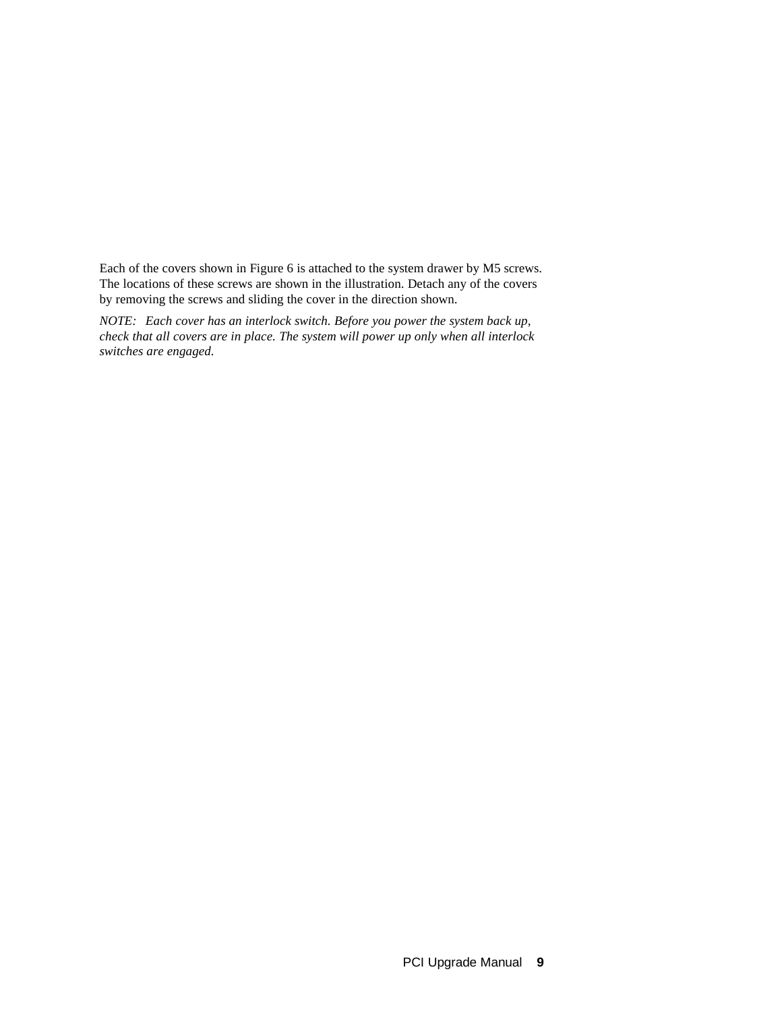Each of the covers shown in Figure 6 is attached to the system drawer by M5 screws. The locations of these screws are shown in the illustration. Detach any of the covers by removing the screws and sliding the cover in the direction shown.

*NOTE: Each cover has an interlock switch. Before you power the system back up, check that all covers are in place. The system will power up only when all interlock switches are engaged.*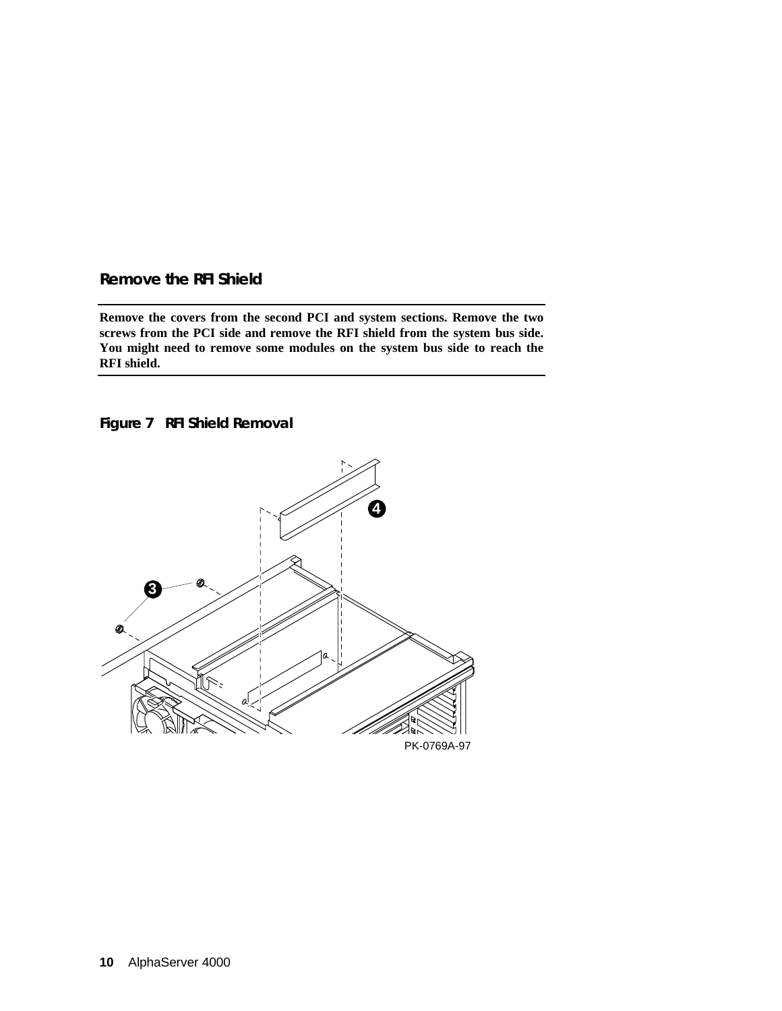### **Remove the RFI Shield**

**Remove the covers from the second PCI and system sections. Remove the two screws from the PCI side and remove the RFI shield from the system bus side. You might need to remove some modules on the system bus side to reach the RFI shield.**

**Figure 7 RFI Shield Removal**

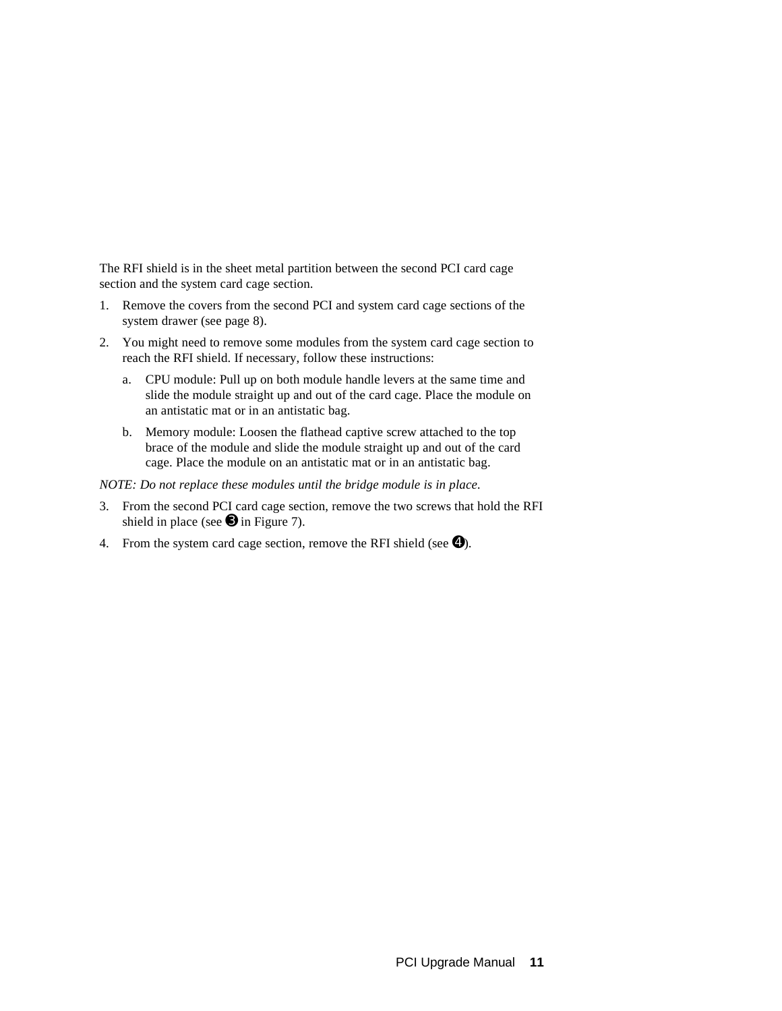The RFI shield is in the sheet metal partition between the second PCI card cage section and the system card cage section.

- 1. Remove the covers from the second PCI and system card cage sections of the system drawer (see page 8).
- 2. You might need to remove some modules from the system card cage section to reach the RFI shield. If necessary, follow these instructions:
	- a. CPU module: Pull up on both module handle levers at the same time and slide the module straight up and out of the card cage. Place the module on an antistatic mat or in an antistatic bag.
	- b. Memory module: Loosen the flathead captive screw attached to the top brace of the module and slide the module straight up and out of the card cage. Place the module on an antistatic mat or in an antistatic bag.

*NOTE: Do not replace these modules until the bridge module is in place.*

- 3. From the second PCI card cage section, remove the two screws that hold the RFI shield in place (see  $\Theta$  in Figure 7).
- 4. From the system card cage section, remove the RFI shield (see  $\bullet$ ).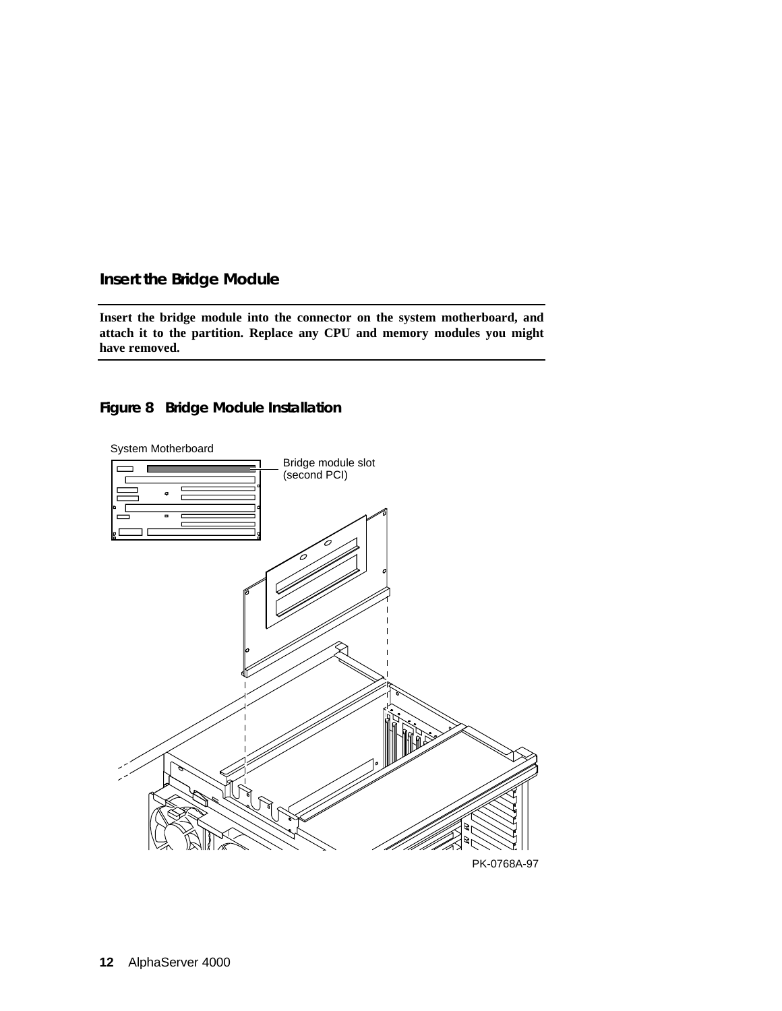## **Insert the Bridge Module**

**Insert the bridge module into the connector on the system motherboard, and attach it to the partition. Replace any CPU and memory modules you might have removed.**

### **Figure 8 Bridge Module Installation**

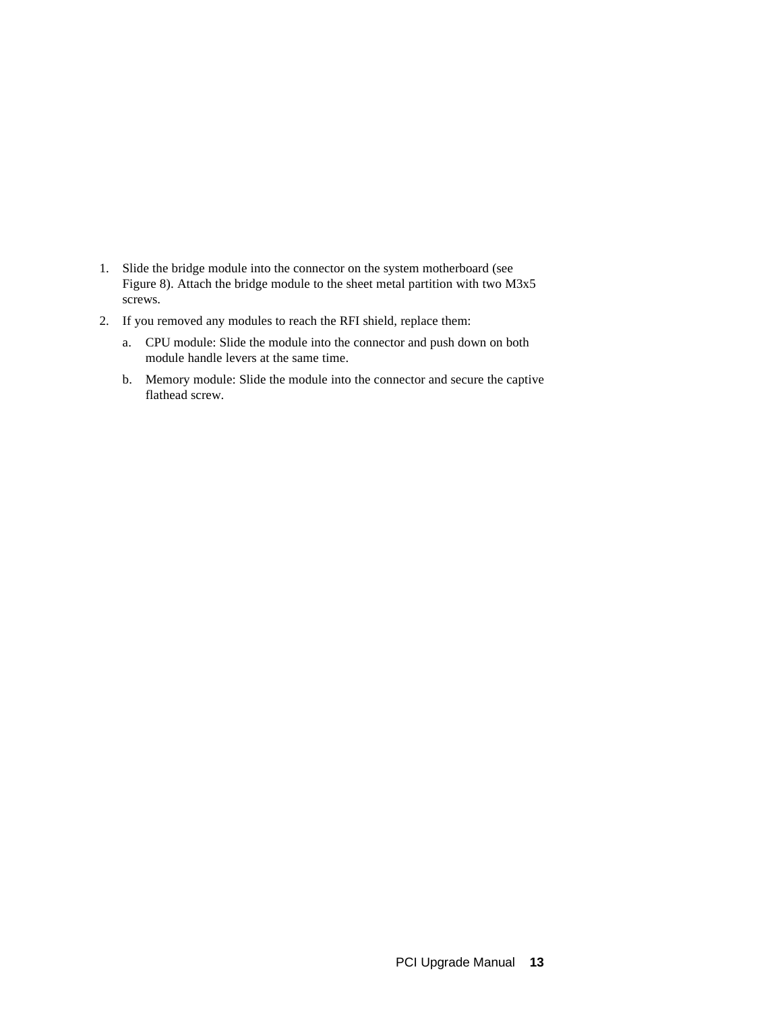- 1. Slide the bridge module into the connector on the system motherboard (see Figure 8). Attach the bridge module to the sheet metal partition with two M3x5 screws.
- 2. If you removed any modules to reach the RFI shield, replace them:
	- a. CPU module: Slide the module into the connector and push down on both module handle levers at the same time.
	- b. Memory module: Slide the module into the connector and secure the captive flathead screw.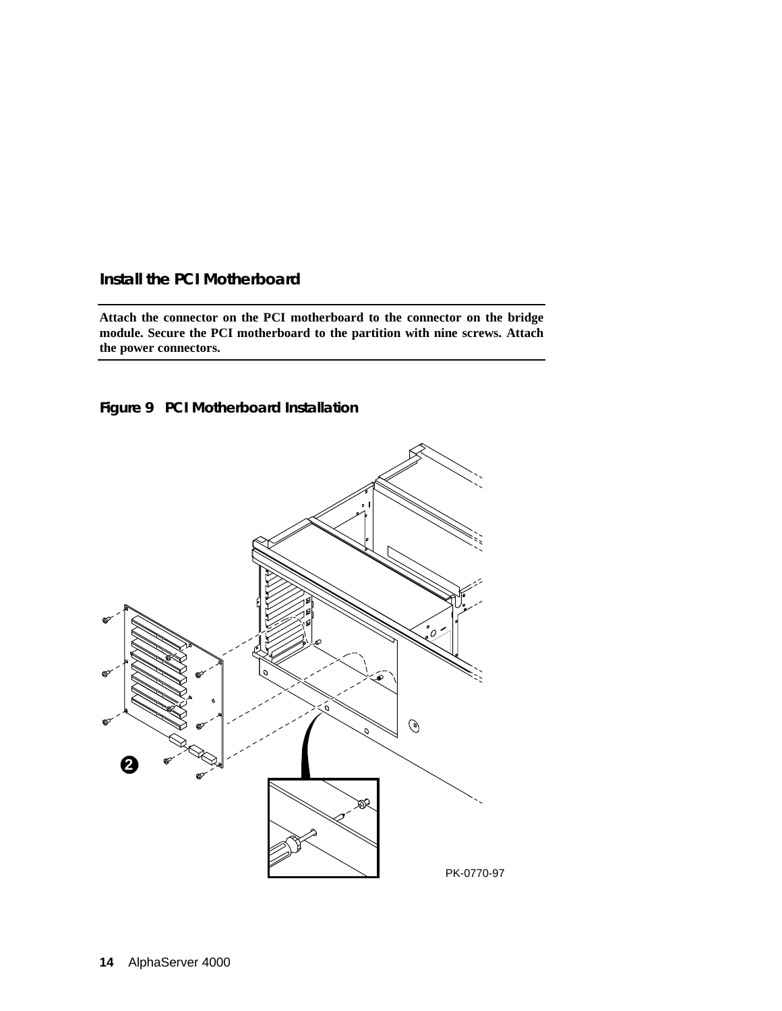## **Install the PCI Motherboard**

**Attach the connector on the PCI motherboard to the connector on the bridge module. Secure the PCI motherboard to the partition with nine screws. Attach the power connectors.**



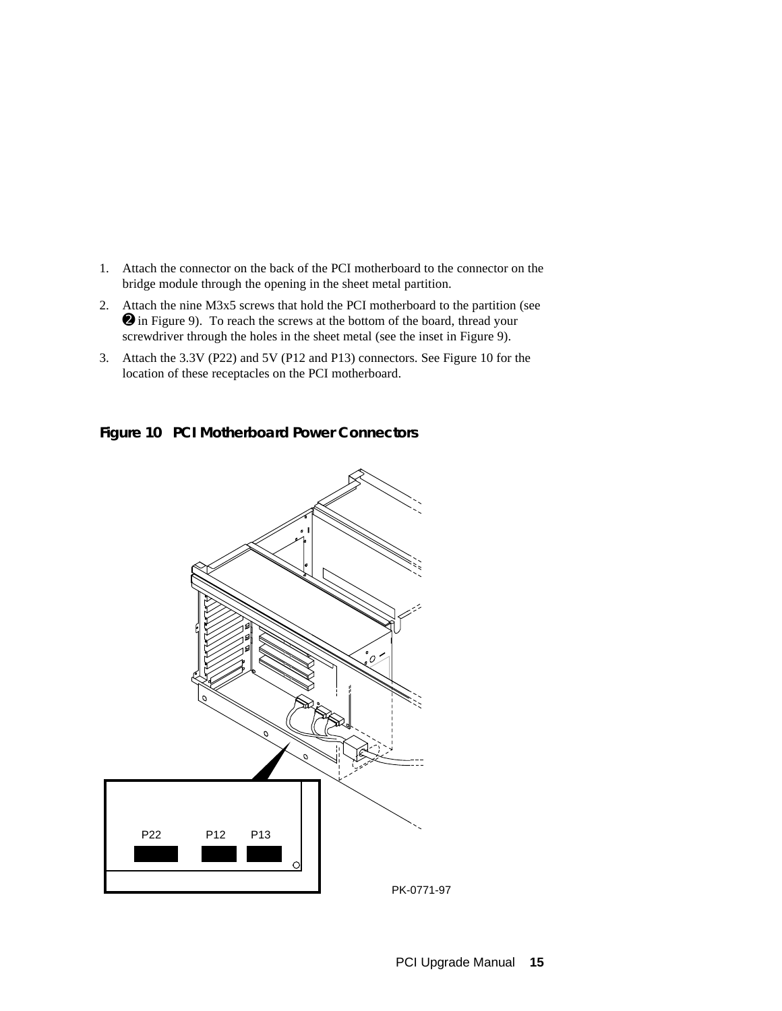- 1. Attach the connector on the back of the PCI motherboard to the connector on the bridge module through the opening in the sheet metal partition.
- 2. Attach the nine M3x5 screws that hold the PCI motherboard to the partition (see ➋ in Figure 9). To reach the screws at the bottom of the board, thread your screwdriver through the holes in the sheet metal (see the inset in Figure 9).
- 3. Attach the 3.3V (P22) and 5V (P12 and P13) connectors. See Figure 10 for the location of these receptacles on the PCI motherboard.

## **Figure 10 PCI Motherboard Power Connectors**

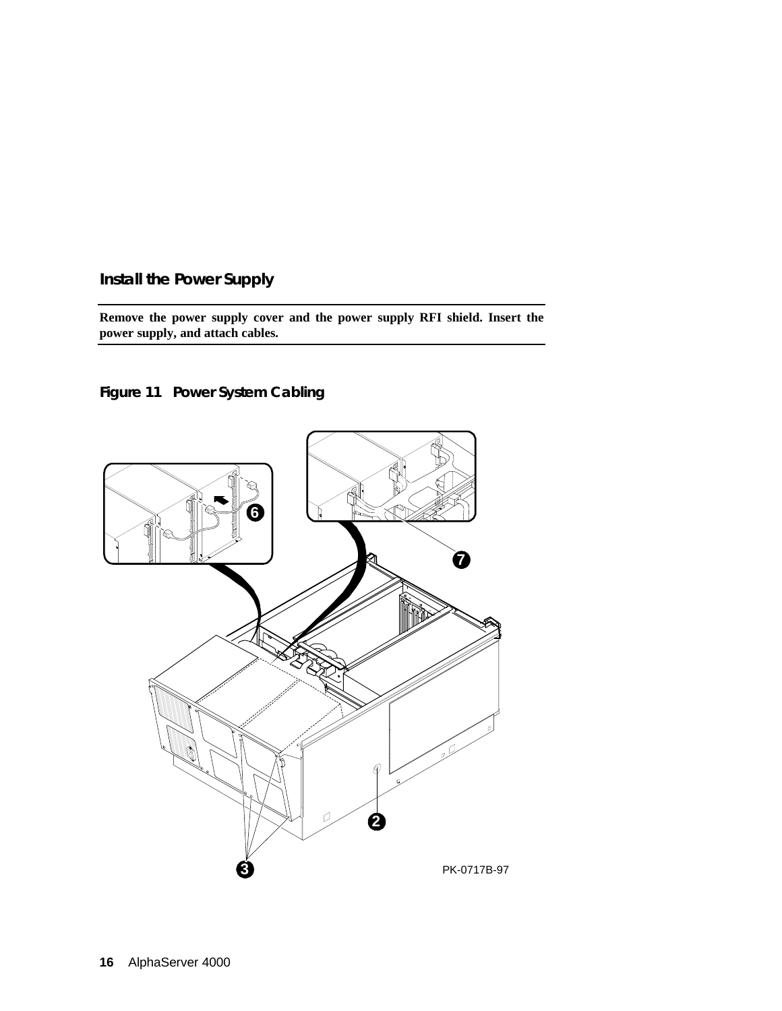**Install the Power Supply**

**Remove the power supply cover and the power supply RFI shield. Insert the power supply, and attach cables.**

**Figure 11 Power System Cabling**

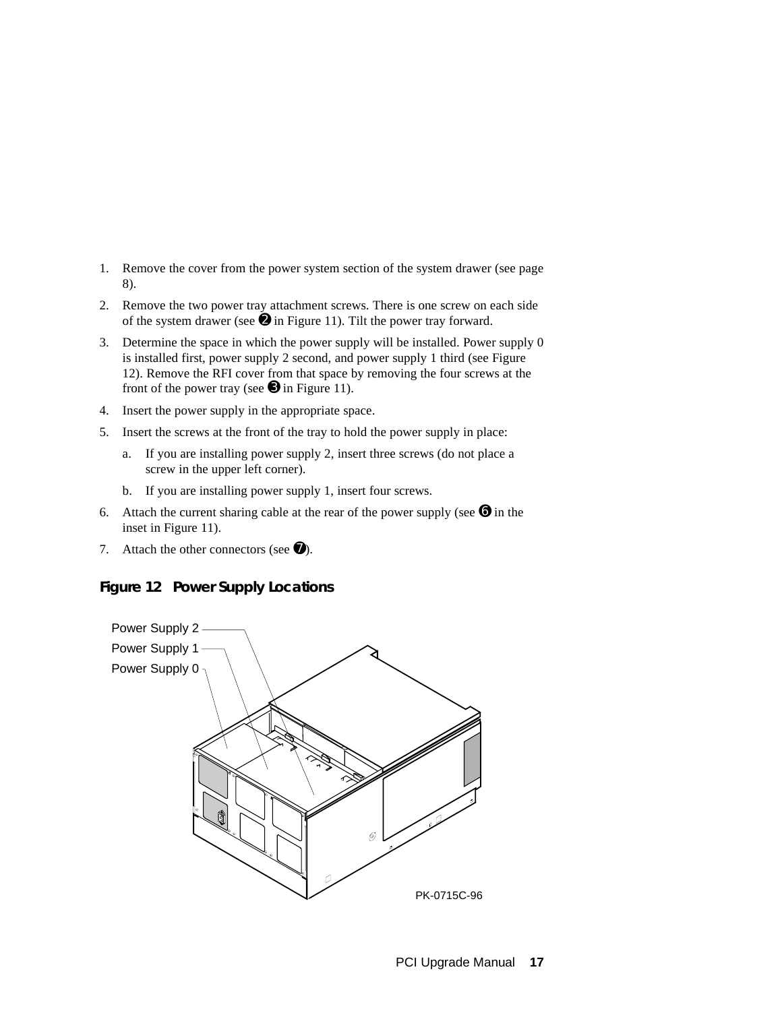- 1. Remove the cover from the power system section of the system drawer (see page 8).
- 2. Remove the two power tray attachment screws. There is one screw on each side of the system drawer (see  $\Theta$  in Figure 11). Tilt the power tray forward.
- 3. Determine the space in which the power supply will be installed. Power supply 0 is installed first, power supply 2 second, and power supply 1 third (see Figure 12). Remove the RFI cover from that space by removing the four screws at the front of the power tray (see  $\bullet$  in Figure 11).
- 4. Insert the power supply in the appropriate space.
- 5. Insert the screws at the front of the tray to hold the power supply in place:
	- a. If you are installing power supply 2, insert three screws (do not place a screw in the upper left corner).
	- b. If you are installing power supply 1, insert four screws.
- 6. Attach the current sharing cable at the rear of the power supply (see  $\Theta$  in the inset in Figure 11).
- 7. Attach the other connectors (see  $\bullet$ ).

#### **Figure 12 Power Supply Locations**

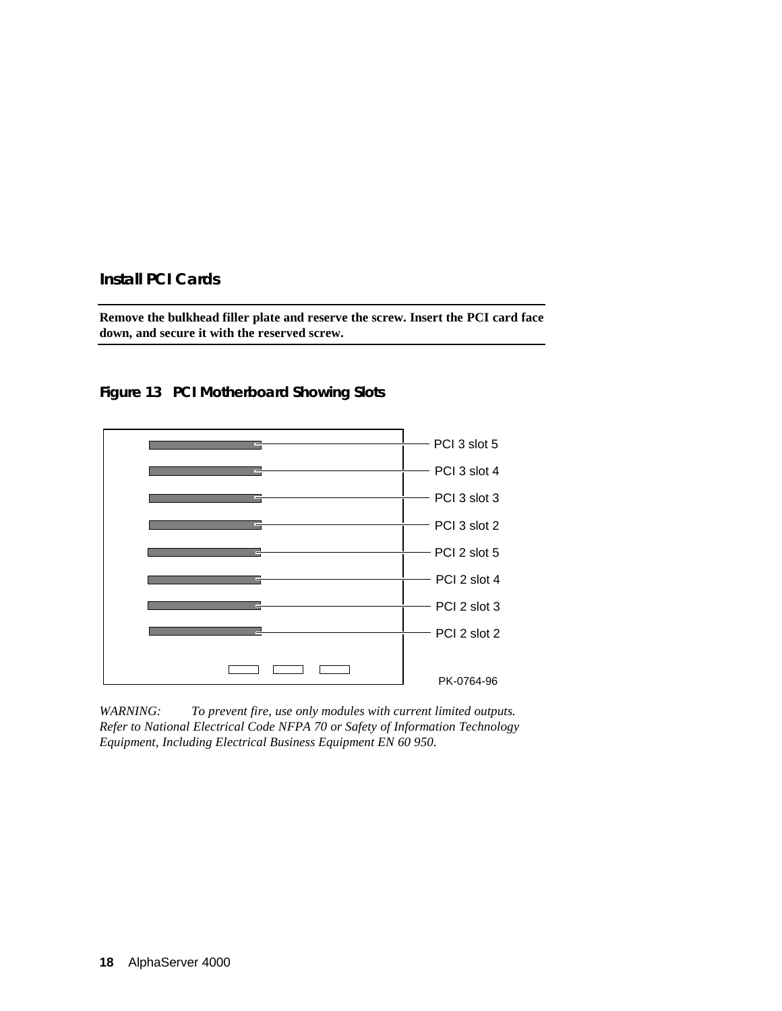## **Install PCI Cards**

**Remove the bulkhead filler plate and reserve the screw. Insert the PCI card face down, and secure it with the reserved screw.**



**Figure 13 PCI Motherboard Showing Slots**

*WARNING: To prevent fire, use only modules with current limited outputs. Refer to National Electrical Code NFPA 70 or Safety of Information Technology Equipment, Including Electrical Business Equipment EN 60 950.*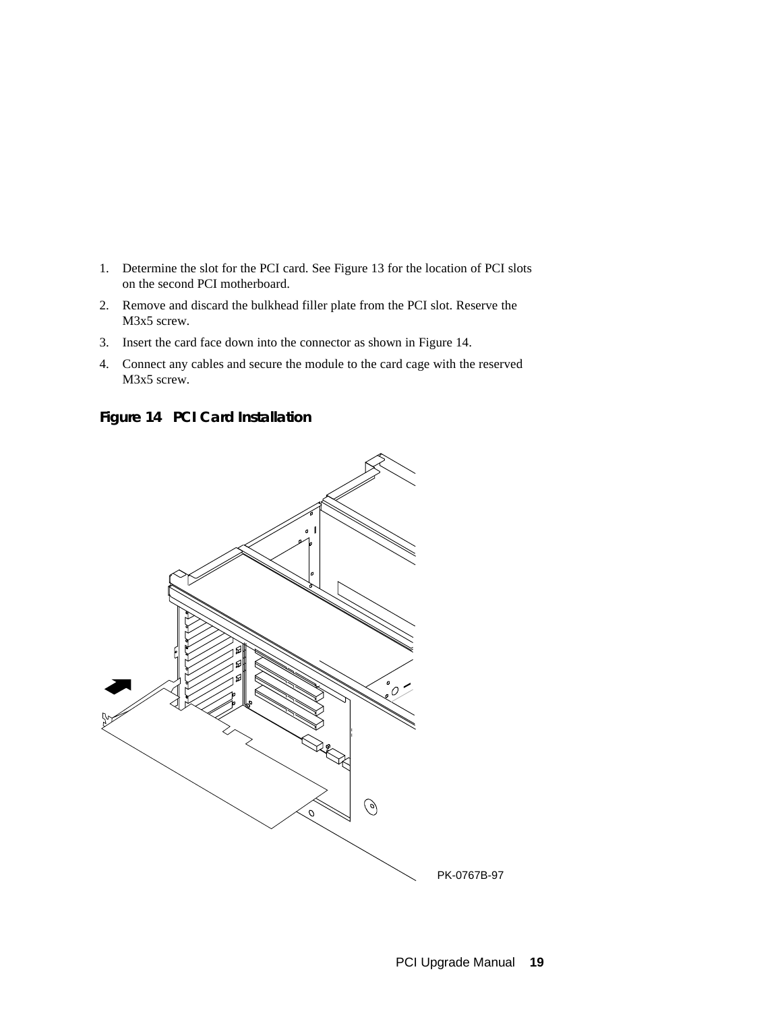- 1. Determine the slot for the PCI card. See Figure 13 for the location of PCI slots on the second PCI motherboard.
- 2. Remove and discard the bulkhead filler plate from the PCI slot. Reserve the M3x5 screw.
- 3. Insert the card face down into the connector as shown in Figure 14.
- 4. Connect any cables and secure the module to the card cage with the reserved M3x5 screw.

**Figure 14 PCI Card Installation**

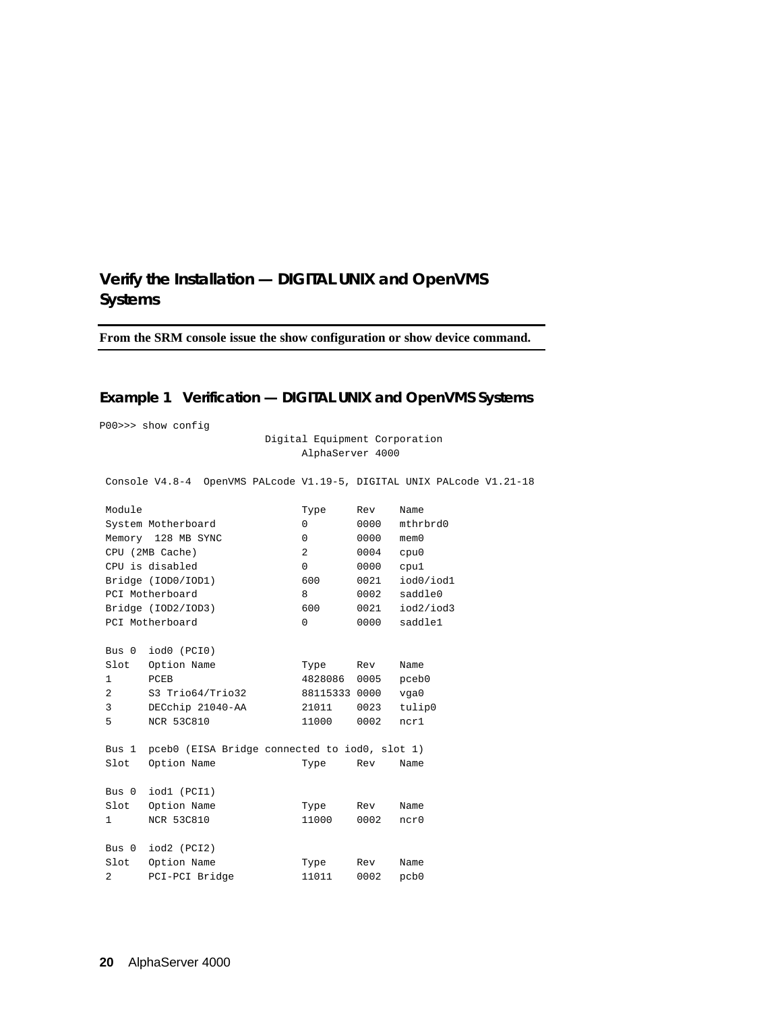## **Verify the Installation — DIGITAL UNIX and OpenVMS Systems**

**From the SRM console issue the show configuration or show device command.**

## **Example 1 Verification — DIGITAL UNIX and OpenVMS Systems**

P00>>> show config

 Digital Equipment Corporation AlphaServer 4000

Console V4.8-4 OpenVMS PALcode V1.19-5, DIGITAL UNIX PALcode V1.21-18

| Module       |                                               | Type           | Rev  | Name       |
|--------------|-----------------------------------------------|----------------|------|------------|
|              | System Motherboard                            | $\Omega$       | 0000 | mthrbrd0   |
|              | Memory 128 MB SYNC                            | 0              | 0000 | $m$ em $0$ |
|              | CPU (2MB Cache)                               | $\overline{a}$ | 0004 | cpu0       |
|              | CPU is disabled                               | 0              | 0000 | cpu1       |
|              | Bridge (IOD0/IOD1)                            | 600            | 0021 | iod0/iod1  |
|              | PCI Motherboard                               | 8              | 0002 | saddle0    |
|              | Bridge (IOD2/IOD3)                            | 600            | 0021 | iod2/iod3  |
|              | PCI Motherboard                               | 0              | 0000 | saddlel    |
|              |                                               |                |      |            |
| Bus 0        | iod0 (PCIO)                                   |                |      |            |
| Slot         | Option Name                                   | Type           | Rev  | Name       |
| $\mathbf{1}$ | PCEB                                          | 4828086        | 0005 | pceb0      |
| 2            | S3 Trio64/Trio32                              | 88115333 0000  |      | vga0       |
| 3            | DECchip 21040-AA                              | 21011          | 0023 | tulip0     |
| 5            | <b>NCR 53C810</b>                             | 11000          | 0002 | ncr1       |
|              |                                               |                |      |            |
| Bus 1        | pceb0 (EISA Bridge connected to iod0, slot 1) |                |      |            |
| Slot         | Option Name                                   | Type           | Rev  | Name       |
|              |                                               |                |      |            |
|              | Bus 0 iod1 (PCI1)                             |                |      |            |
| Slot         | Option Name                                   | Type           | Rev  | Name       |
| 1            | <b>NCR 53C810</b>                             | 11000          | 0002 | ncr0       |
|              |                                               |                |      |            |
| Bus 0        | iod2 (PCI2)                                   |                |      |            |
| Slot         | Option Name                                   | Type           | Rev  | Name       |
| 2            | PCI-PCI Bridge                                | 11011          | 0002 | pcb0       |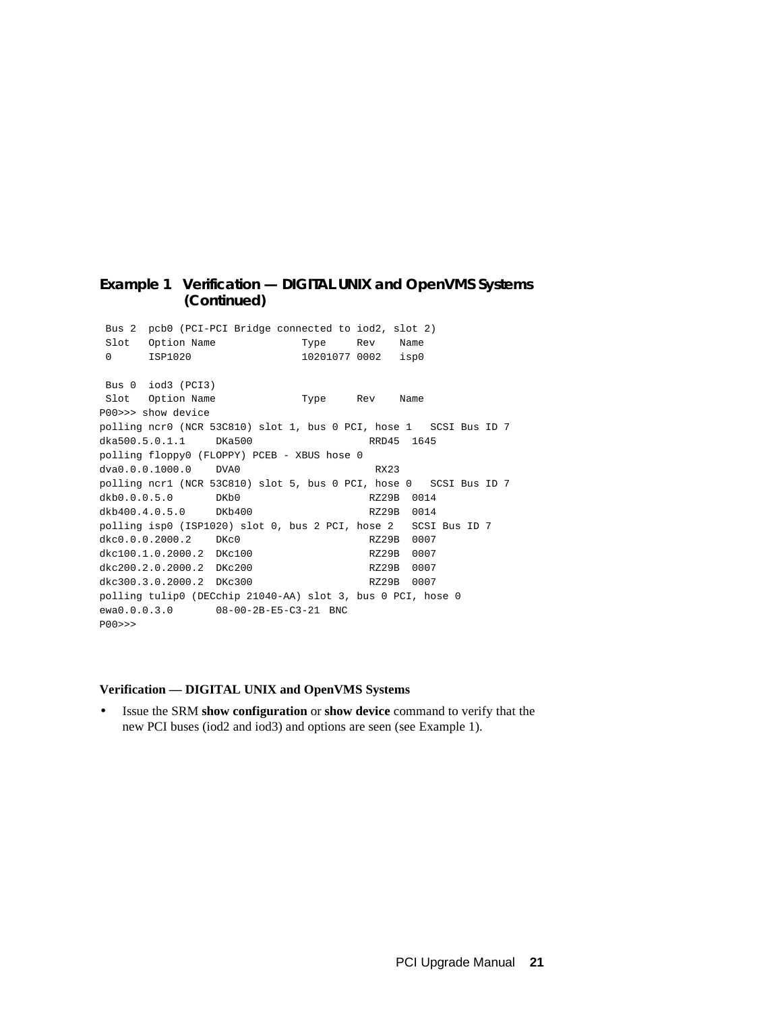#### **Example 1 Verification — DIGITAL UNIX and OpenVMS Systems (Continued)**

 Bus 2 pcb0 (PCI-PCI Bridge connected to iod2, slot 2) Slot Option Name Type Rev Name 0 ISP1020 10201077 0002 isp0 Bus 0 iod3 (PCI3) Slot Option Name Type Rev Name P00>>> show device polling ncr0 (NCR 53C810) slot 1, bus 0 PCI, hose 1 SCSI Bus ID 7 dka500.5.0.1.1 DKa500 RRD45 1645 polling floppy0 (FLOPPY) PCEB - XBUS hose 0 dva0.0.0.1000.0 DVA0 RX23 polling ncr1 (NCR 53C810) slot 5, bus 0 PCI, hose 0 SCSI Bus ID 7 dkb0.0.0.5.0 DKb0 RZ29B 0014 dkb400.4.0.5.0 DKb400 RZ29B 0014 polling isp0 (ISP1020) slot 0, bus 2 PCI, hose 2 SCSI Bus ID 7 dkc0.0.0.2000.2 DKc0 RZ29B 0007 dkc100.1.0.2000.2 DKc100 RZ29B 0007 dkc200.2.0.2000.2 DKc200 RZ29B 0007 dkc300.3.0.2000.2 DKc300 RZ29B 0007 polling tulip0 (DECchip 21040-AA) slot 3, bus 0 PCI, hose 0 ewa0.0.0.3.0 08-00-2B-E5-C3-21 BNC P00>>>

#### **Verification — DIGITAL UNIX and OpenVMS Systems**

• Issue the SRM **show configuration** or **show device** command to verify that the new PCI buses (iod2 and iod3) and options are seen (see Example 1).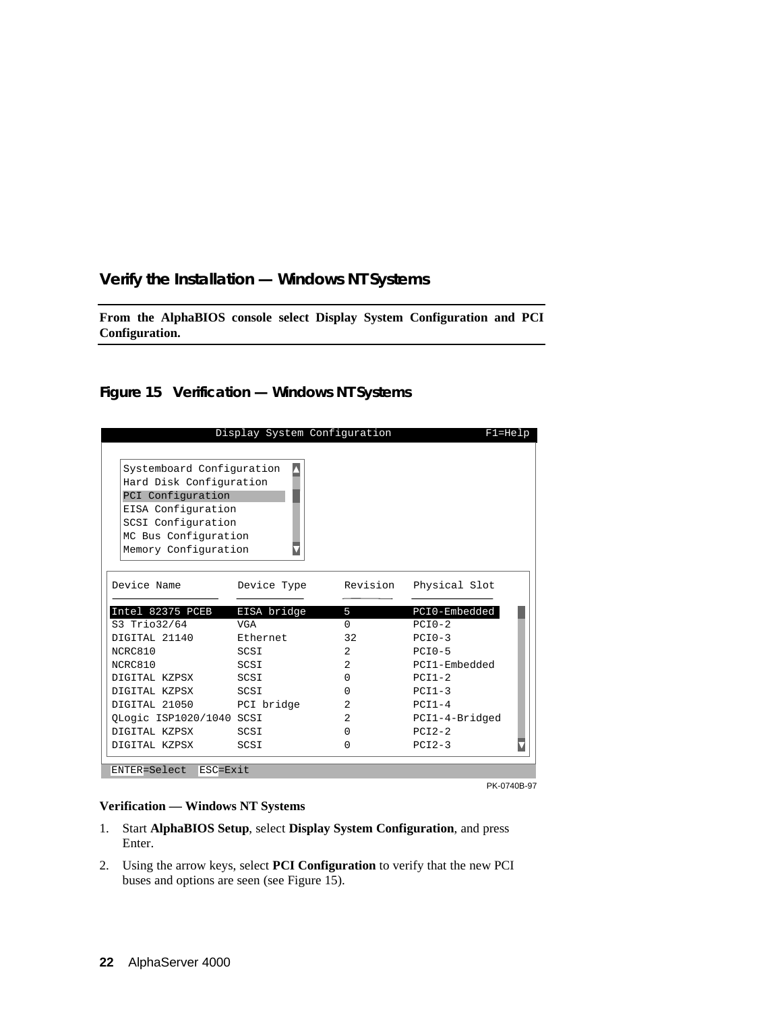## **Verify the Installation — Windows NT Systems**

**From the AlphaBIOS console select Display System Configuration and PCI Configuration.**

## **Figure 15 Verification — Windows NT Systems**

| Systemboard Configuration<br>Hard Disk Configuration<br>PCI Configuration<br>EISA Configuration<br>SCSI Configuration<br>MC Bus Configuration<br>Memory Configuration<br>Device Name<br>Revision<br>Physical Slot<br>Device Type<br>Intel 82375 PCEB<br>EISA bridge<br>5<br>S3 Trio32/64<br>$\Omega$<br>$PCTO-2$<br>VGA<br>DIGITAL 21140<br>Ethernet<br>32<br>$PCI0-3$<br>NCRC810<br>$\overline{2}$<br>$PCI0-5$<br>SCSI<br>NCRC810<br>SCSI<br>2<br>DIGITAL KZPSX<br>$\Omega$<br>$PCI1-2$<br>SCSI<br>DIGITAL KZPSX<br>$PCI1-3$<br>SCSI<br>$\Omega$<br>DIGITAL 21050 PCI bridge<br>$\overline{2}$<br>$PCI1-4$<br>QLogic ISP1020/1040 SCSI<br>2 <sup>1</sup><br>$PCI2-2$<br>DIGITAL KZPSX<br>SCSI<br>$\Omega$<br>$PCI2-3$<br>DIGITAL KZPSX<br>SCSI<br>$\Omega$ | Display System Configuration | $F1 = He1p$    |
|-------------------------------------------------------------------------------------------------------------------------------------------------------------------------------------------------------------------------------------------------------------------------------------------------------------------------------------------------------------------------------------------------------------------------------------------------------------------------------------------------------------------------------------------------------------------------------------------------------------------------------------------------------------------------------------------------------------------------------------------------------------|------------------------------|----------------|
|                                                                                                                                                                                                                                                                                                                                                                                                                                                                                                                                                                                                                                                                                                                                                             |                              |                |
|                                                                                                                                                                                                                                                                                                                                                                                                                                                                                                                                                                                                                                                                                                                                                             |                              |                |
|                                                                                                                                                                                                                                                                                                                                                                                                                                                                                                                                                                                                                                                                                                                                                             |                              |                |
|                                                                                                                                                                                                                                                                                                                                                                                                                                                                                                                                                                                                                                                                                                                                                             |                              |                |
|                                                                                                                                                                                                                                                                                                                                                                                                                                                                                                                                                                                                                                                                                                                                                             |                              |                |
|                                                                                                                                                                                                                                                                                                                                                                                                                                                                                                                                                                                                                                                                                                                                                             |                              |                |
|                                                                                                                                                                                                                                                                                                                                                                                                                                                                                                                                                                                                                                                                                                                                                             |                              |                |
|                                                                                                                                                                                                                                                                                                                                                                                                                                                                                                                                                                                                                                                                                                                                                             |                              |                |
|                                                                                                                                                                                                                                                                                                                                                                                                                                                                                                                                                                                                                                                                                                                                                             |                              |                |
|                                                                                                                                                                                                                                                                                                                                                                                                                                                                                                                                                                                                                                                                                                                                                             |                              |                |
|                                                                                                                                                                                                                                                                                                                                                                                                                                                                                                                                                                                                                                                                                                                                                             |                              | PCI0-Embedded  |
|                                                                                                                                                                                                                                                                                                                                                                                                                                                                                                                                                                                                                                                                                                                                                             |                              |                |
|                                                                                                                                                                                                                                                                                                                                                                                                                                                                                                                                                                                                                                                                                                                                                             |                              |                |
|                                                                                                                                                                                                                                                                                                                                                                                                                                                                                                                                                                                                                                                                                                                                                             |                              |                |
|                                                                                                                                                                                                                                                                                                                                                                                                                                                                                                                                                                                                                                                                                                                                                             |                              | PCI1-Embedded  |
|                                                                                                                                                                                                                                                                                                                                                                                                                                                                                                                                                                                                                                                                                                                                                             |                              |                |
|                                                                                                                                                                                                                                                                                                                                                                                                                                                                                                                                                                                                                                                                                                                                                             |                              |                |
|                                                                                                                                                                                                                                                                                                                                                                                                                                                                                                                                                                                                                                                                                                                                                             |                              |                |
|                                                                                                                                                                                                                                                                                                                                                                                                                                                                                                                                                                                                                                                                                                                                                             |                              | PCI1-4-Bridged |
|                                                                                                                                                                                                                                                                                                                                                                                                                                                                                                                                                                                                                                                                                                                                                             |                              |                |
| ENTER=Select ESC=Exit                                                                                                                                                                                                                                                                                                                                                                                                                                                                                                                                                                                                                                                                                                                                       |                              |                |

PK-0740B-97

#### **Verification — Windows NT Systems**

- 1. Start **AlphaBIOS Setup**, select **Display System Configuration**, and press Enter.
- 2. Using the arrow keys, select **PCI Configuration** to verify that the new PCI buses and options are seen (see Figure 15).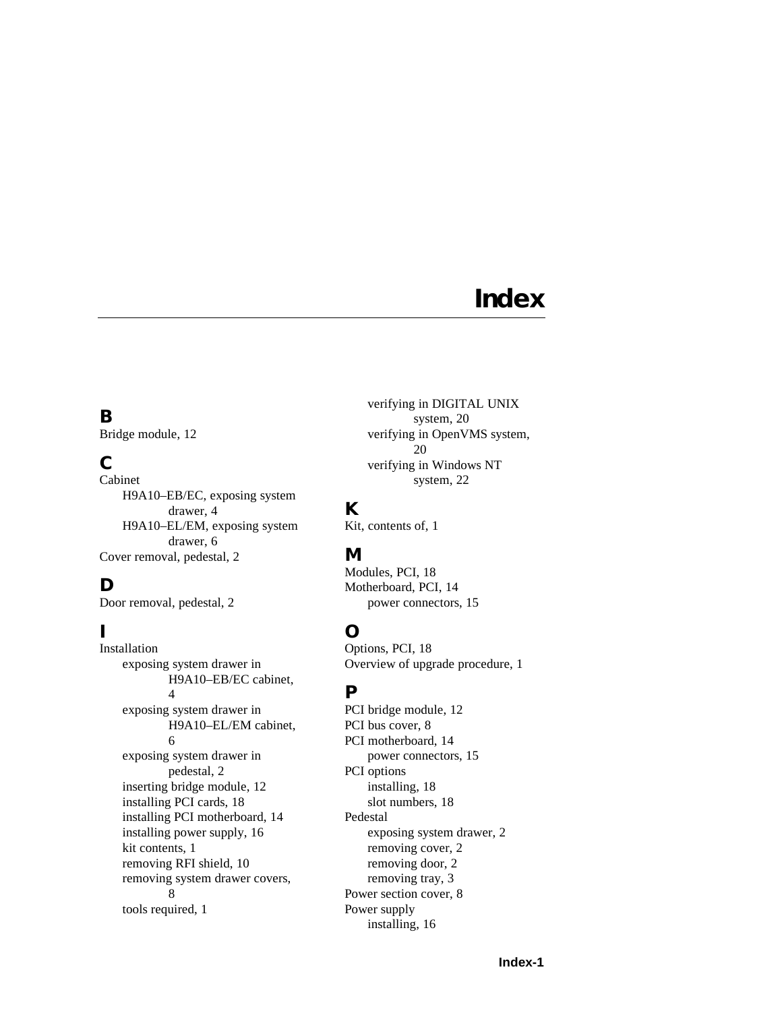# **Index**

# **B**

Bridge module, 12

# **C**

Cabinet H9A10–EB/EC, exposing system drawer, 4 H9A10–EL/EM, exposing system drawer, 6 Cover removal, pedestal, 2

# **D**

Door removal, pedestal, 2

# **I**

Installation exposing system drawer in H9A10–EB/EC cabinet, 4 exposing system drawer in H9A10–EL/EM cabinet, 6 exposing system drawer in pedestal, 2 inserting bridge module, 12 installing PCI cards, 18 installing PCI motherboard, 14 installing power supply, 16 kit contents, 1 removing RFI shield, 10 removing system drawer covers, 8 tools required, 1

verifying in DIGITAL UNIX system, 20 verifying in OpenVMS system, 20 verifying in Windows NT system, 22

# **K**

Kit, contents of, 1

# **M**

Modules, PCI, 18 Motherboard, PCI, 14 power connectors, 15

# **O**

Options, PCI, 18 Overview of upgrade procedure, 1

# **P**

PCI bridge module, 12 PCI bus cover, 8 PCI motherboard, 14 power connectors, 15 PCI options installing, 18 slot numbers, 18 Pedestal exposing system drawer, 2 removing cover, 2 removing door, 2 removing tray, 3 Power section cover, 8 Power supply installing, 16